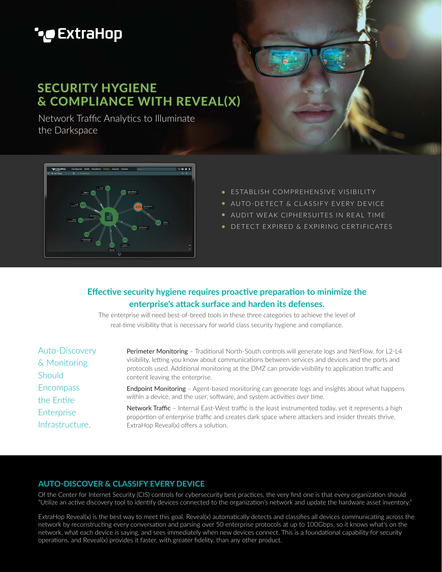# **'•@** ExtraHop

# SECURITY HYGIENE & COMPLIANCE WITH REVEAL(X)

Network Traffic Analytics to Illuminate the Darkspace



- **ESTABLISH COMPREHENSIVE VISIBILITY**
- AUTO-DETECT & CLASSIFY EVERY DEVICE
- AUDIT WEAK CIPHERSUITES IN REAL TIME
- DETECT EXPIRED & EXPIRING CERTIFICATES

### **Effective security hygiene requires proactive preparation to minimize the enterprise's attack surface and harden its defenses.**

The enterprise will need best-of-breed tools in these three categories to achieve the level of real-time visibility that is necessary for world class security hygiene and compliance.

Auto-Discovery & Monitoring **Should Encompass** the Entire Enterprise Infrastructure.

Perimeter Monitoring - Traditional North-South controls will generate logs and NetFlow, for L2-L4 visibility, letting you know about communications between services and devices and the ports and protocols used. Additional monitoring at the DMZ can provide visibility to application traffic and content leaving the enterprise.

Endpoint Monitoring – Agent-based monitoring can generate logs and insights about what happens within a device, and the user, software, and system activities over time.

Network Traffic - Internal East-West traffic is the least instrumented today, yet it represents a high proportion of enterprise traffic and creates dark space where attackers and insider threats thrive. ExtraHop Reveal(x) offers a solution.

### AUTO-DISCOVER & CLASSIFY EVERY DEVICE

Of the Center for Internet Security (CIS) controls for cybersecurity best practices, the very first one is that every organization should "Utilize an active discovery tool to identify devices connected to the organization's network and update the hardware asset inventory."

ExtraHop Reveal(x) is the best way to meet this goal. Reveal(x) automatically detects and classifies all devices communicating across the network by reconstructing every conversation and parsing over 50 enterprise protocols at up to 100Gbps, so it knows what's on the network, what each device is saying, and sees immediately when new devices connect. This is a foundational capability for security operations, and Reveal(x) provides it faster, with greater fidelity, than any other product.